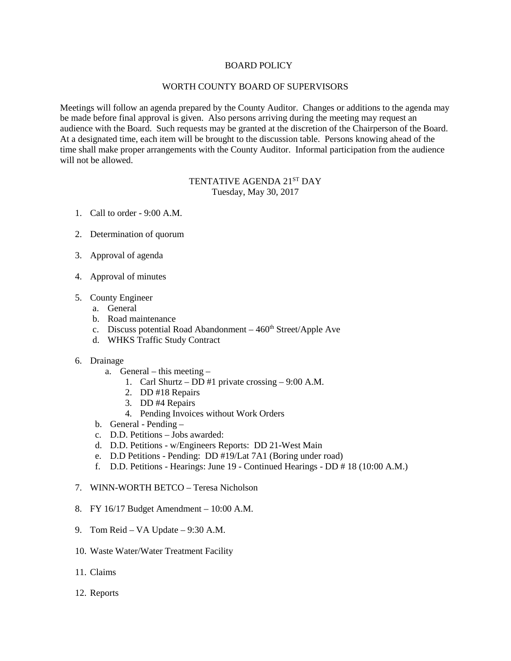## BOARD POLICY

## WORTH COUNTY BOARD OF SUPERVISORS

Meetings will follow an agenda prepared by the County Auditor. Changes or additions to the agenda may be made before final approval is given. Also persons arriving during the meeting may request an audience with the Board. Such requests may be granted at the discretion of the Chairperson of the Board. At a designated time, each item will be brought to the discussion table. Persons knowing ahead of the time shall make proper arrangements with the County Auditor. Informal participation from the audience will not be allowed.

## TENTATIVE AGENDA 21ST DAY Tuesday, May 30, 2017

- 1. Call to order 9:00 A.M.
- 2. Determination of quorum
- 3. Approval of agenda
- 4. Approval of minutes
- 5. County Engineer
	- a. General
	- b. Road maintenance
	- c. Discuss potential Road Abandonment  $-460<sup>th</sup> Street/Apple$  Ave
	- d. WHKS Traffic Study Contract
- 6. Drainage
	- a. General this meeting
		- 1. Carl Shurtz DD #1 private crossing 9:00 A.M.
		- 2. DD #18 Repairs
		- 3. DD #4 Repairs
		- 4. Pending Invoices without Work Orders
	- b. General Pending –
	- c. D.D. Petitions Jobs awarded:
	- d. D.D. Petitions w/Engineers Reports: DD 21-West Main
	- e. D.D Petitions Pending: DD #19/Lat 7A1 (Boring under road)
	- f. D.D. Petitions Hearings: June 19 Continued Hearings DD # 18 (10:00 A.M.)
- 7. WINN-WORTH BETCO Teresa Nicholson
- 8. FY 16/17 Budget Amendment 10:00 A.M.
- 9. Tom Reid VA Update 9:30 A.M.
- 10. Waste Water/Water Treatment Facility
- 11. Claims
- 12. Reports